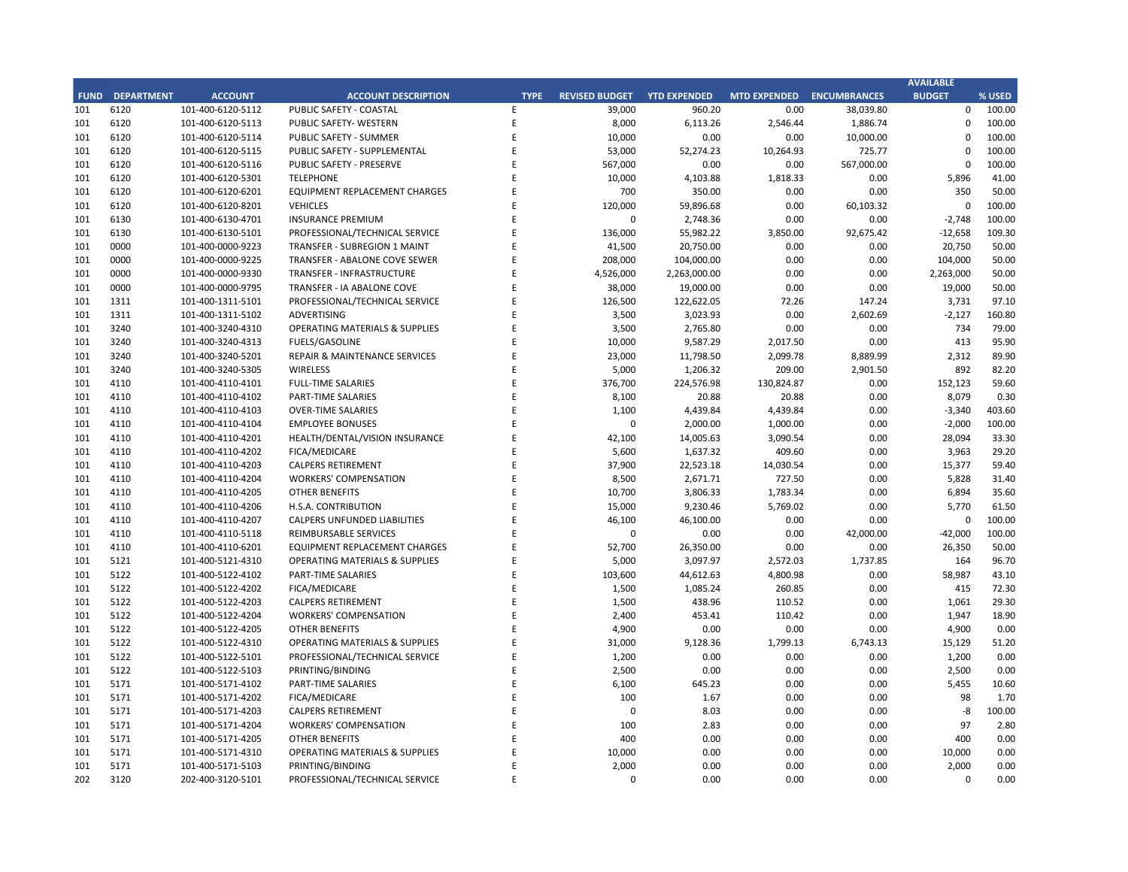## **CITY OF RANCHO PALOS VERDES SUMMARY OF EXPENDITURES - ALL FUNDS February 28, 2019**

|             |                                     |                       | FY 2018-19         |                    |                      | FY 2017-18  |                      |                          |           |
|-------------|-------------------------------------|-----------------------|--------------------|--------------------|----------------------|-------------|----------------------|--------------------------|-----------|
| <b>FUND</b> | <b>FUND DESCRIPTION</b>             | <b>REVISED BUDGET</b> | <b>YTD ACTUALS</b> | <b>YTD ENCUMB.</b> | <b>YTD ACTUALS +</b> | <b>USED</b> | <b>YTD ACTUALS +</b> | YEAR OVER YEAR CHANGE    |           |
|             | <b>101 GENERAL FUND</b>             |                       |                    |                    | <b>ENCUMB.</b>       |             | <b>ENCUMB.</b>       | <b>ACTUALS + ENCUMB.</b> |           |
|             | <b>CITY COUNCIL</b>                 | \$<br>161,100         | 77,416 \$<br>\$    | $3,091$ \$         | 80,506               | 50.0%       | \$<br>77,982         | \$<br>2,524              | 3.2%      |
|             | <b>LEGAL SERVICES</b>               | 925,000               | 603,015            | $\bf 0$            | 603,015              | 65.2%       | 759,131              | (156, 115)               | $-20.6%$  |
|             | <b>CITY CLERK</b>                   | 621,200               | 271,485            | 2,286              | 273,771              | 44.1%       | 462,918              | (189, 148)               | $-40.9%$  |
|             | <b>CITY MANAGER</b>                 | 856,500               | 516,985            | 21,246             | 538,231              | 62.8%       | 661,427              | (123, 195)               | $-18.6%$  |
|             | <b>CITY ADMINISTRATION</b>          | 555,750               | 236,185            | 27,896             | 264,080              | 47.5%       | 320,238              | (56, 157)                | $-17.5%$  |
|             | <b>HUMAN RESOURCES</b>              | 406,100               | 220,064            | 29,253             | 249,317              | 61.4%       | 272,749              | (23, 431)                | $-8.6%$   |
|             | <b>INFORMATION TECHNOLOGIES</b>     | 1,261,463             | 728,040            | 154,717            | 882,757              | 70.0%       | 888,696              | (5,939)                  | $-0.7%$   |
|             | <b>FINANCE</b>                      | 1,604,950             | 936,519            | 29,628             | 966,147              | 60.2%       | 933,186              | 32,961                   | 3.5%      |
|             | <b>PUBLIC WORKS</b>                 | 6,123,977             | 2,449,462          | 1,217,445          | 3,666,908            | 59.9%       | 4,155,966            | (489, 058)               | $-11.8%$  |
|             | <b>COMMUNITY DEVELOPMENT</b>        | 3,807,538             | 1,930,959          | 524,780            | 2,455,739            | 64.5%       | 2,151,026            | 304,713                  | 14.2%     |
|             | <b>RECREATIONAL &amp; PARKS</b>     | 2,943,300             | 1,686,553          | 96,960             | 1,783,513            | 60.6%       | 1,630,036            | 153,478                  | 9.4%      |
|             | <b>PUBLIC SAFETY</b>                | 7,866,647             | 4,142,583          | 3,456,630          | 7,599,213            | 96.6%       | 7,673,950            | (74, 737)                | $-1.0%$   |
|             | NON-DEPARTMENTAL                    | 1,382,737             | 592,232            | 99,602             | 691,834              | 50.0%       | 783,797              | (91, 963)                | $-11.7%$  |
|             | <b>TRANSFERS OUT</b>                | 4,564,700             | 2,282,350          | $\mathbf 0$        | 2,282,350            | 50.0%       | 2,406,750            | (124, 400)               | $-5.2%$   |
|             | <b>TOTAL GENERAL FUND</b>           | 33,080,961            | 16,673,849         | 5,663,534          | 22,337,383           | 67.5%       | 23,177,851           | (840, 468)               | $-3.6%$   |
|             |                                     |                       |                    |                    |                      |             |                      |                          |           |
|             | <b>200 SPECIAL REVENUE FUNDS</b>    |                       |                    |                    |                      |             |                      |                          |           |
|             | 202 STREET MAINTENANCE              | 1,634,786             | 588,455            | 673,503            | 1,261,957            | 77.2%       | 1,587,333            | (325, 375)               | $-20.5%$  |
|             | 203 1972 ACT LANDSCAPING & LIGHTING | $\mathbf{0}$          | $\mathbf{0}$       | $\mathbf 0$        | $\mathbf{0}$         | 0.0%        | 1,309                | (1,309)                  | $-100.0%$ |
|             | 209 EL PRADO LIGHTING DISTRICT      | 800                   | 357                | 143                | 500                  | 62.5%       | 548                  | (48)                     | $-8.8%$   |
|             | 211 1911 ACT STREET LIGHTING        | 2,223,447             | 428,193            | 1,402,524          | 1,830,718            | 82.3%       | 399,071              | 1,431,646                | 358.7%    |
|             | 212 BEAUTIFICATION                  | 623,544               | 429,477            | 28,007             | 457,484              | 73.4%       | 42,320               | 415,164                  | 981.0%    |
|             | 213 WASTE REDUCTION                 | 317,100               | 124,177            | 63,438             | 187,615              | 59.2%       | 237,486              | (49, 871)                | $-21.0%$  |
|             | 214 AIR QUALITY MANAGEMENT          | 50,000                | 25,000             | 25,000             | 50,000               | 100.0%      | 50,000               | 0                        | 0.0%      |
|             | 215 PROPOSITION C                   | 1,100,000             | 73,170             | 586,830            | 660,000              | 60.0%       | 600,000              | 60,000                   | 10.0%     |
|             | 216 PROPOSITION A                   | 1,250,154             | 339,640            | 438,435            | 778,074              | 62.2%       | 928,023              | (149, 948)               | $-16.2%$  |
|             | 217 PUBLIC SAFETY GRANTS            | 130,000               | 65,000             | $\mathbf 0$        | 65,000               | 50.0%       | 70,000               | (5,000)                  | $-7.1%$   |
|             | 220 MEASURE R                       | 2,550,000             | 2,151,702          | 174,317            | 2,326,019            | 91.2%       | 0                    | 2,326,019                | 0.0%      |
|             | 221 MEASURE M                       | 536,000               | 352,773            | 166,262            | 519,035              | 96.8%       | 145,506              | 373,528                  | 256.7%    |
|             | 222 HABITAT RESTORATION             | 179,500               | 112,124            | 37,376             | 149,500              | 83.3%       | 180,453              | (30, 953)                | $-17.2%$  |
|             | 223 SUBREGION ONE MAINTENANCE       | 46,800                | 27,430             | 7,438              | 34,867               | 74.5%       | 32,860               | 2,007                    | 6.1%      |
|             | 224 MEASURE A MAINTENANCE           | 90,000                | 45,000             | $\Omega$           | 45,000               | 50.0%       | 45,000               | $\Omega$                 | 0.0%      |
|             | 225 ABALONE COVE SEWER DISTRICT     | 431,906               | 15,962             | 29,797             | 45,759               | 10.6%       | 117,888              | (72, 130)                | $-61.2%$  |